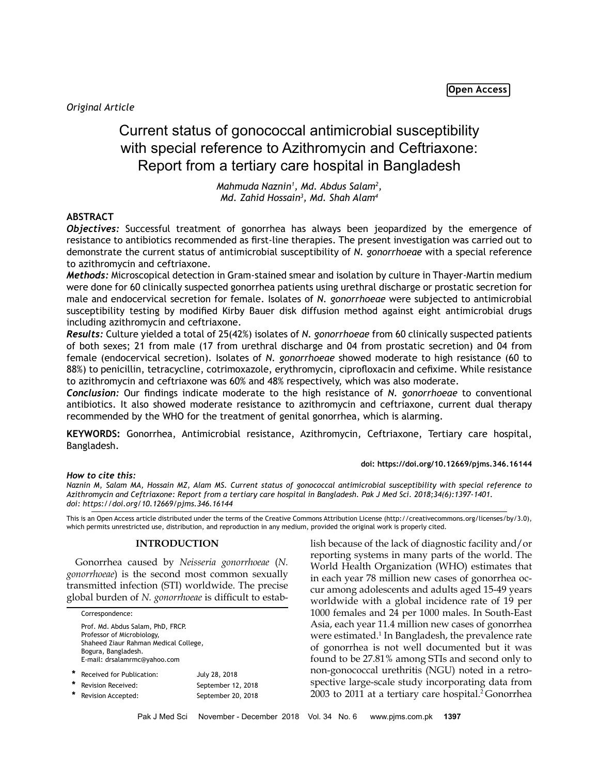*Original Article*

# Current status of gonococcal antimicrobial susceptibility with special reference to Azithromycin and Ceftriaxone: Report from a tertiary care hospital in Bangladesh

*Mahmuda Naznin1 , Md. Abdus Salam2 , Md. Zahid Hossain3 , Md. Shah Alam4*

# **ABSTRACT**

*Objectives:* Successful treatment of gonorrhea has always been jeopardized by the emergence of resistance to antibiotics recommended as first-line therapies. The present investigation was carried out to demonstrate the current status of antimicrobial susceptibility of *N. gonorrhoeae* with a special reference to azithromycin and ceftriaxone.

*Methods:* Microscopical detection in Gram-stained smear and isolation by culture in Thayer-Martin medium were done for 60 clinically suspected gonorrhea patients using urethral discharge or prostatic secretion for male and endocervical secretion for female. Isolates of *N. gonorrhoeae* were subjected to antimicrobial susceptibility testing by modified Kirby Bauer disk diffusion method against eight antimicrobial drugs including azithromycin and ceftriaxone.

*Results:* Culture yielded a total of 25(42%) isolates of *N. gonorrhoeae* from 60 clinically suspected patients of both sexes; 21 from male (17 from urethral discharge and 04 from prostatic secretion) and 04 from female (endocervical secretion). Isolates of *N. gonorrhoeae* showed moderate to high resistance (60 to 88%) to penicillin, tetracycline, cotrimoxazole, erythromycin, ciprofloxacin and cefixime. While resistance to azithromycin and ceftriaxone was 60% and 48% respectively, which was also moderate.

*Conclusion:* Our findings indicate moderate to the high resistance of *N. gonorrhoeae* to conventional antibiotics. It also showed moderate resistance to azithromycin and ceftriaxone, current dual therapy recommended by the WHO for the treatment of genital gonorrhea, which is alarming.

**KEYWORDS:** Gonorrhea, Antimicrobial resistance, Azithromycin, Ceftriaxone, Tertiary care hospital, Bangladesh.

**doi: https://doi.org/10.12669/pjms.346.16144**

*How to cite this:*

*Naznin M, Salam MA, Hossain MZ, Alam MS. Current status of gonococcal antimicrobial susceptibility with special reference to Azithromycin and Ceftriaxone: Report from a tertiary care hospital in Bangladesh. Pak J Med Sci. 2018;34(6):1397-1401. doi: https://doi.org/10.12669/pjms.346.16144*

This is an Open Access article distributed under the terms of the Creative Commons Attribution License (http://creativecommons.org/licenses/by/3.0), which permits unrestricted use, distribution, and reproduction in any medium, provided the original work is properly cited.

# **INTRODUCTION**

Gonorrhea caused by *Neisseria gonorrhoeae* (*N. gonorrhoeae*) is the second most common sexually transmitted infection (STI) worldwide. The precise global burden of *N. gonorrhoeae* is difficult to estab-

Correspondence: Prof. Md. Abdus Salam, PhD, FRCP. Professor of Microbiology, Shaheed Ziaur Rahman Medical College, Bogura, Bangladesh. E-mail: [drsalamrmc@yahoo.com](mailto:drsalamrmc@yahoo.com)  **\*** Received for Publication: July 28, 2018 **Revision Received:** September 12, 2018 Revision Accepted: September 20, 2018 lish because of the lack of diagnostic facility and/or reporting systems in many parts of the world. The World Health Organization (WHO) estimates that in each year 78 million new cases of gonorrhea occur among adolescents and adults aged 15-49 years worldwide with a global incidence rate of 19 per 1000 females and 24 per 1000 males. In South-East Asia, each year 11.4 million new cases of gonorrhea were estimated.<sup>1</sup> In Bangladesh, the prevalence rate of gonorrhea is not well documented but it was found to be 27.81% among STIs and second only to non-gonococcal urethritis (NGU) noted in a retrospective large-scale study incorporating data from 2003 to 2011 at a tertiary care hospital.<sup>2</sup> Gonorrhea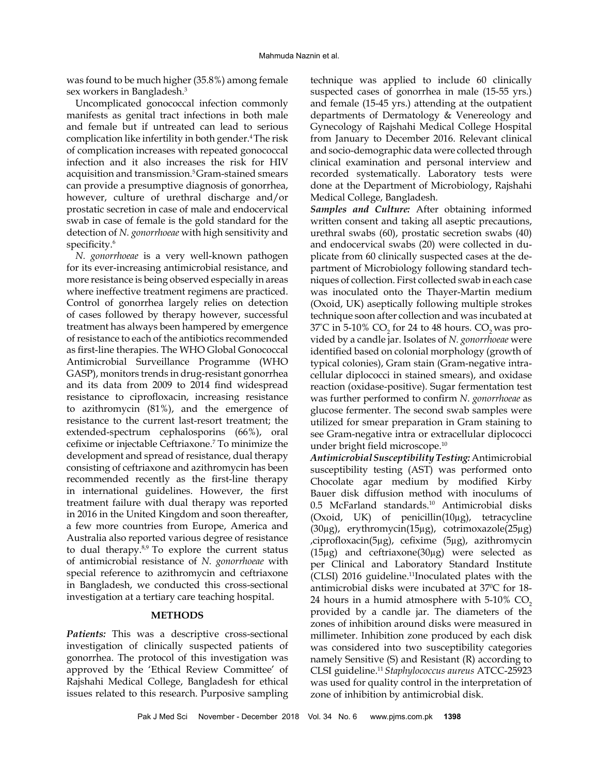was found to be much higher (35.8%) among female sex workers in Bangladesh.3

Uncomplicated gonococcal infection commonly manifests as genital tract infections in both male and female but if untreated can lead to serious complication like infertility in both gender.<sup>4</sup> The risk of complication increases with repeated gonococcal infection and it also increases the risk for HIV acquisition and transmission.5 Gram-stained smears can provide a presumptive diagnosis of gonorrhea, however, culture of urethral discharge and/or prostatic secretion in case of male and endocervical swab in case of female is the gold standard for the detection of *N. gonorrhoeae* with high sensitivity and specificity.<sup>6</sup>

*N. gonorrhoeae* is a very well-known pathogen for its ever-increasing antimicrobial resistance, and more resistance is being observed especially in areas where ineffective treatment regimens are practiced. Control of gonorrhea largely relies on detection of cases followed by therapy however, successful treatment has always been hampered by emergence of resistance to each of the antibiotics recommended as first-line therapies. The WHO Global Gonococcal Antimicrobial Surveillance Programme (WHO GASP), monitors trends in drug-resistant gonorrhea and its data from 2009 to 2014 find widespread resistance to ciprofloxacin, increasing resistance to azithromycin (81%), and the emergence of resistance to the current last-resort treatment; the extended-spectrum cephalosporins (66%), oral cefixime or injectable Ceftriaxone.<sup>7</sup> To minimize the development and spread of resistance, dual therapy consisting of ceftriaxone and azithromycin has been recommended recently as the first-line therapy in international guidelines. However, the first treatment failure with dual therapy was reported in 2016 in the United Kingdom and soon thereafter, a few more countries from Europe, America and Australia also reported various degree of resistance to dual therapy. $8.9$  To explore the current status of antimicrobial resistance of *N. gonorrhoeae* with special reference to azithromycin and ceftriaxone in Bangladesh, we conducted this cross-sectional investigation at a tertiary care teaching hospital.

## **METHODS**

Patients: This was a descriptive cross-sectional investigation of clinically suspected patients of gonorrhea. The protocol of this investigation was approved by the 'Ethical Review Committee' of Rajshahi Medical College, Bangladesh for ethical issues related to this research. Purposive sampling technique was applied to include 60 clinically suspected cases of gonorrhea in male (15-55 yrs.) and female (15-45 yrs.) attending at the outpatient departments of Dermatology & Venereology and Gynecology of Rajshahi Medical College Hospital from January to December 2016. Relevant clinical and socio-demographic data were collected through clinical examination and personal interview and recorded systematically. Laboratory tests were done at the Department of Microbiology, Rajshahi Medical College, Bangladesh.

*Samples and Culture:* After obtaining informed written consent and taking all aseptic precautions, urethral swabs (60), prostatic secretion swabs (40) and endocervical swabs (20) were collected in duplicate from 60 clinically suspected cases at the department of Microbiology following standard techniques of collection. First collected swab in each case was inoculated onto the Thayer-Martin medium (Oxoid, UK) aseptically following multiple strokes technique soon after collection and was incubated at 37°C in 5-10% CO<sub>2</sub> for 24 to 48 hours. CO<sub>2</sub> was provided by a candle jar. Isolates of *N*. *gonorrhoeae* were identified based on colonial morphology (growth of typical colonies), Gram stain (Gram-negative intracellular diplococci in stained smears), and oxidase reaction (oxidase-positive). Sugar fermentation test was further performed to confirm *N*. *gonorrhoeae* as glucose fermenter. The second swab samples were utilized for smear preparation in Gram staining to see Gram-negative intra or extracellular diplococci under bright field microscope.<sup>10</sup>

*Antimicrobial Susceptibility Testing:* Antimicrobial susceptibility testing (AST) was performed onto Chocolate agar medium by modified Kirby Bauer disk diffusion method with inoculums of 0.5 McFarland standards.10 Antimicrobial disks (Oxoid, UK) of penicillin(10µg), tetracycline  $(30\mu g)$ , erythromycin $(15\mu g)$ , cotrimoxazole $(25\mu g)$ ,ciprofloxacin(5µg), cefixime (5µg), azithromycin (15µg) and ceftriaxone(30µg) were selected as per Clinical and Laboratory Standard Institute (CLSI) 2016 guideline.<sup>11</sup>Inoculated plates with the antimicrobial disks were incubated at 37<sup>o</sup>C for 18-24 hours in a humid atmosphere with  $5-10\%$  CO<sub>2</sub> provided by a candle jar. The diameters of the zones of inhibition around disks were measured in millimeter. Inhibition zone produced by each disk was considered into two susceptibility categories namely Sensitive (S) and Resistant (R) according to CLSI guideline.11 *Staphylococcus aureus* ATCC-25923 was used for quality control in the interpretation of zone of inhibition by antimicrobial disk.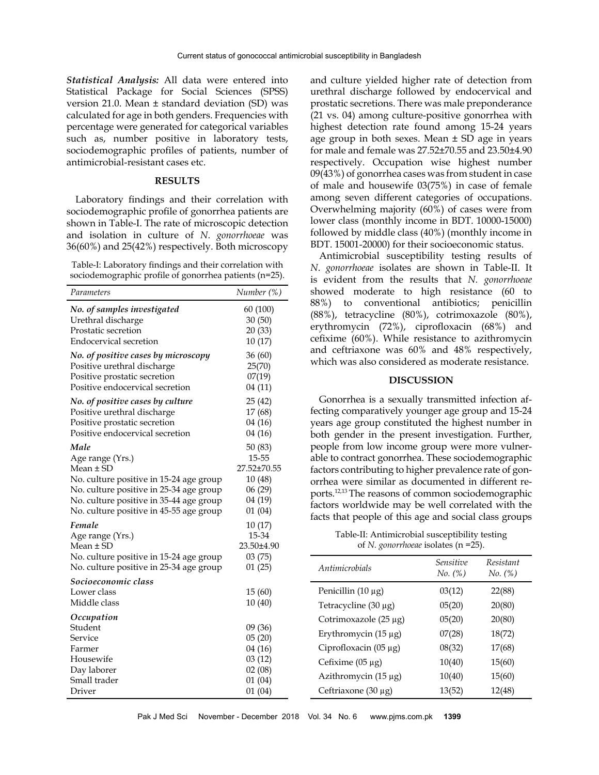*Statistical Analysis:* All data were entered into Statistical Package for Social Sciences (SPSS) version 21.0. Mean ± standard deviation (SD) was calculated for age in both genders. Frequencies with percentage were generated for categorical variables such as, number positive in laboratory tests, sociodemographic profiles of patients, number of antimicrobial-resistant cases etc.

## **RESULTS**

Laboratory findings and their correlation with sociodemographic profile of gonorrhea patients are shown in Table-I. The rate of microscopic detection and isolation in culture of *N*. *gonorrhoeae* was 36(60%) and 25(42%) respectively. Both microscopy

| Table-I: Laboratory findings and their correlation with |  |  |
|---------------------------------------------------------|--|--|
| sociodemographic profile of gonorrhea patients (n=25).  |  |  |

| Parameters                                                                                       | Number (%)                                                            |
|--------------------------------------------------------------------------------------------------|-----------------------------------------------------------------------|
| No. of samples investigated                                                                      | 60 (100)                                                              |
| Urethral discharge                                                                               | 30(50)                                                                |
| Prostatic secretion                                                                              | 20 (33)                                                               |
| Endocervical secretion                                                                           | 10 (17)                                                               |
| No. of positive cases by microscopy                                                              | 36(60)                                                                |
| Positive urethral discharge                                                                      | 25(70)                                                                |
| Positive prostatic secretion                                                                     | 07(19)                                                                |
| Positive endocervical secretion                                                                  | 04 (11)                                                               |
| No. of positive cases by culture                                                                 | 25(42)                                                                |
| Positive urethral discharge                                                                      | 17 (68)                                                               |
| Positive prostatic secretion                                                                     | 04 (16)                                                               |
| Positive endocervical secretion                                                                  | 04 (16)                                                               |
| Male                                                                                             | 50 (83)                                                               |
| Age range (Yrs.)                                                                                 | 15-55                                                                 |
| Mean $\pm$ SD                                                                                    | 27.52±70.55                                                           |
| No. culture positive in 15-24 age group                                                          | 10 (48)                                                               |
| No. culture positive in 25-34 age group                                                          | 06 (29)                                                               |
| No. culture positive in 35-44 age group                                                          | 04 (19)                                                               |
| No. culture positive in 45-55 age group                                                          | 01 (04)                                                               |
| Female                                                                                           | 10 (17)                                                               |
| Age range (Yrs.)                                                                                 | 15-34                                                                 |
| Mean $\pm$ SD                                                                                    | 23.50±4.90                                                            |
| No. culture positive in 15-24 age group                                                          | 03 (75)                                                               |
| No. culture positive in 25-34 age group                                                          | 01(25)                                                                |
| Socioeconomic class<br>Lower class<br>Middle class                                               | 15 (60)<br>10 (40)                                                    |
| Occupation<br>Student<br>Service<br>Farmer<br>Housewife<br>Day laborer<br>Small trader<br>Driver | 09(36)<br>05(20)<br>04 (16)<br>03(12)<br>02(08)<br>01 (04)<br>01 (04) |

and culture yielded higher rate of detection from urethral discharge followed by endocervical and prostatic secretions. There was male preponderance (21 vs. 04) among culture-positive gonorrhea with highest detection rate found among 15-24 years age group in both sexes. Mean  $\pm$  SD age in years for male and female was 27.52±70.55 and 23.50±4.90 respectively. Occupation wise highest number 09(43%) of gonorrhea cases was from student in case of male and housewife 03(75%) in case of female among seven different categories of occupations. Overwhelming majority (60%) of cases were from lower class (monthly income in BDT. 10000-15000) followed by middle class (40%) (monthly income in BDT. 15001-20000) for their socioeconomic status.

Antimicrobial susceptibility testing results of *N*. *gonorrhoeae* isolates are shown in Table-II. It is evident from the results that *N. gonorrhoeae* showed moderate to high resistance (60 to 88%) to conventional antibiotics; penicillin (88%), tetracycline (80%), cotrimoxazole (80%), erythromycin (72%), ciprofloxacin (68%) and cefixime (60%). While resistance to azithromycin and ceftriaxone was 60% and 48% respectively, which was also considered as moderate resistance.

### **DISCUSSION**

Gonorrhea is a sexually transmitted infection affecting comparatively younger age group and 15-24 years age group constituted the highest number in both gender in the present investigation. Further, people from low income group were more vulnerable to contract gonorrhea. These sociodemographic factors contributing to higher prevalence rate of gonorrhea were similar as documented in different reports.12,13 The reasons of common sociodemographic factors worldwide may be well correlated with the facts that people of this age and social class groups

Table-II: Antimicrobial susceptibility testing of *N. gonorrhoeae* isolates (n =25).

| Antimicrobials            | <i>Sensitive</i><br>No. (%) | Resistant<br>No. (%) |
|---------------------------|-----------------------------|----------------------|
| Penicillin $(10 \mu g)$   | 03(12)                      | 22(88)               |
| Tetracycline (30 µg)      | 05(20)                      | 20(80)               |
| Cotrimoxazole (25 µg)     | 05(20)                      | 20(80)               |
| Erythromycin $(15 \mu g)$ | 07(28)                      | 18(72)               |
| Ciprofloxacin (05 µg)     | 08(32)                      | 17(68)               |
| Cefixime $(05 \mu g)$     | 10(40)                      | 15(60)               |
| Azithromycin $(15 \mu g)$ | 10(40)                      | 15(60)               |
| Ceftriaxone $(30 \mu g)$  | 13(52)                      | 12(48)               |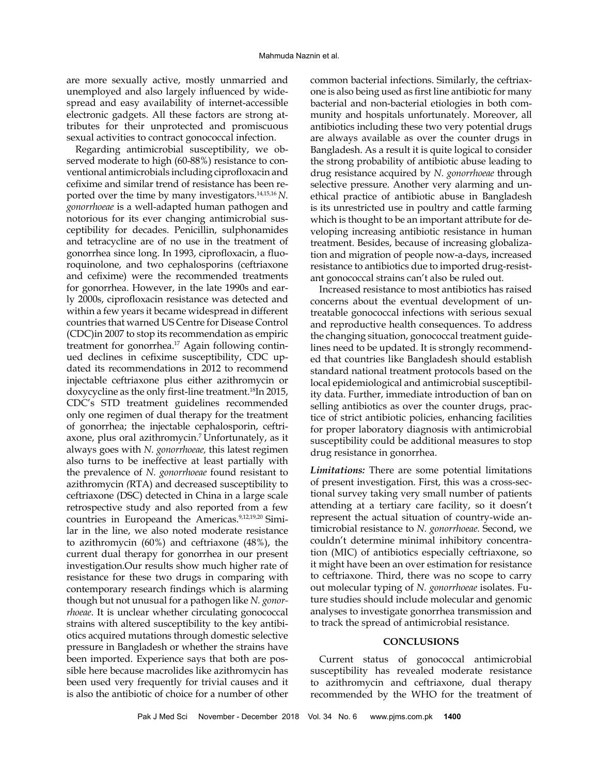are more sexually active, mostly unmarried and unemployed and also largely influenced by widespread and easy availability of internet-accessible electronic gadgets. All these factors are strong attributes for their unprotected and promiscuous sexual activities to contract gonococcal infection.

Regarding antimicrobial susceptibility, we observed moderate to high (60-88%) resistance to conventional antimicrobials including ciprofloxacin and cefixime and similar trend of resistance has been reported over the time by many investigators.14,15,16 *N. gonorrhoeae* is a well-adapted human pathogen and notorious for its ever changing antimicrobial susceptibility for decades. Penicillin, sulphonamides and tetracycline are of no use in the treatment of gonorrhea since long. In 1993, ciprofloxacin, a fluoroquinolone, and two cephalosporins (ceftriaxone and cefixime) were the recommended treatments for gonorrhea. However, in the late 1990s and early 2000s, ciprofloxacin resistance was detected and within a few years it became widespread in different countries that warned US Centre for Disease Control (CDC)in 2007 to stop its recommendation as empiric treatment for gonorrhea.17 Again following continued declines in cefixime susceptibility, CDC updated its recommendations in 2012 to recommend injectable ceftriaxone plus either azithromycin or doxycycline as the only first-line treatment.18In 2015, CDC's STD treatment guidelines recommended only one regimen of dual therapy for the treatment of gonorrhea; the injectable cephalosporin, ceftriaxone, plus oral azithromycin.<sup>7</sup> Unfortunately, as it always goes with *N*. *gonorrhoeae,* this latest regimen also turns to be ineffective at least partially with the prevalence of *N*. *gonorrhoeae* found resistant to azithromycin *(*RTA) and decreased susceptibility to ceftriaxone (DSC) detected in China in a large scale retrospective study and also reported from a few countries in Europeand the Americas.<sup>9,12,19,20</sup> Similar in the line, we also noted moderate resistance to azithromycin (60%) and ceftriaxone (48%), the current dual therapy for gonorrhea in our present investigation.Our results show much higher rate of resistance for these two drugs in comparing with contemporary research findings which is alarming though but not unusual for a pathogen like *N. gonorrhoeae*. It is unclear whether circulating gonococcal strains with altered susceptibility to the key antibiotics acquired mutations through domestic selective pressure in Bangladesh or whether the strains have been imported. Experience says that both are possible here because macrolides like azithromycin has been used very frequently for trivial causes and it is also the antibiotic of choice for a number of other

common bacterial infections. Similarly, the ceftriaxone is also being used as first line antibiotic for many bacterial and non-bacterial etiologies in both community and hospitals unfortunately. Moreover, all antibiotics including these two very potential drugs are always available as over the counter drugs in Bangladesh. As a result it is quite logical to consider the strong probability of antibiotic abuse leading to drug resistance acquired by *N. gonorrhoeae* through selective pressure. Another very alarming and unethical practice of antibiotic abuse in Bangladesh is its unrestricted use in poultry and cattle farming which is thought to be an important attribute for developing increasing antibiotic resistance in human treatment. Besides, because of increasing globalization and migration of people now-a-days, increased resistance to antibiotics due to imported drug-resistant gonococcal strains can't also be ruled out.

Increased resistance to most antibiotics has raised concerns about the eventual development of untreatable gonococcal infections with serious sexual and reproductive health consequences. To address the changing situation, gonococcal treatment guidelines need to be updated. It is strongly recommended that countries like Bangladesh should establish standard national treatment protocols based on the local epidemiological and antimicrobial susceptibility data. Further, immediate introduction of ban on selling antibiotics as over the counter drugs, practice of strict antibiotic policies, enhancing facilities for proper laboratory diagnosis with antimicrobial susceptibility could be additional measures to stop drug resistance in gonorrhea.

*Limitations:* There are some potential limitations of present investigation. First, this was a cross-sectional survey taking very small number of patients attending at a tertiary care facility, so it doesn't represent the actual situation of country-wide antimicrobial resistance to *N. gonorrhoeae.* Second, we couldn't determine minimal inhibitory concentration (MIC) of antibiotics especially ceftriaxone, so it might have been an over estimation for resistance to ceftriaxone. Third, there was no scope to carry out molecular typing of *N. gonorrhoeae* isolates. Future studies should include molecular and genomic analyses to investigate gonorrhea transmission and to track the spread of antimicrobial resistance.

# **CONCLUSIONS**

Current status of gonococcal antimicrobial susceptibility has revealed moderate resistance to azithromycin and ceftriaxone, dual therapy recommended by the WHO for the treatment of